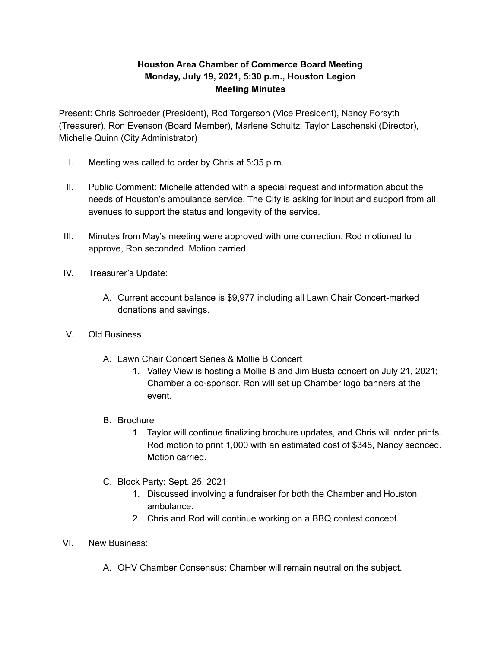## **Houston Area Chamber of Commerce Board Meeting Monday, July 19, 2021, 5:30 p.m., Houston Legion Meeting Minutes**

Present: Chris Schroeder (President), Rod Torgerson (Vice President), Nancy Forsyth (Treasurer), Ron Evenson (Board Member), Marlene Schultz, Taylor Laschenski (Director), Michelle Quinn (City Administrator)

- I. Meeting was called to order by Chris at 5:35 p.m.
- II. Public Comment: Michelle attended with a special request and information about the needs of Houston's ambulance service. The City is asking for input and support from all avenues to support the status and longevity of the service.
- III. Minutes from May's meeting were approved with one correction. Rod motioned to approve, Ron seconded. Motion carried.
- IV. Treasurer's Update:
	- A. Current account balance is \$9,977 including all Lawn Chair Concert-marked donations and savings.
- V. Old Business
	- A. Lawn Chair Concert Series & Mollie B Concert
		- 1. Valley View is hosting a Mollie B and Jim Busta concert on July 21, 2021; Chamber a co-sponsor. Ron will set up Chamber logo banners at the event.
	- B. Brochure
		- 1. Taylor will continue finalizing brochure updates, and Chris will order prints. Rod motion to print 1,000 with an estimated cost of \$348, Nancy seonced. Motion carried.
	- C. Block Party: Sept. 25, 2021
		- 1. Discussed involving a fundraiser for both the Chamber and Houston ambulance.
		- 2. Chris and Rod will continue working on a BBQ contest concept.
- VI. New Business:
	- A. OHV Chamber Consensus: Chamber will remain neutral on the subject.